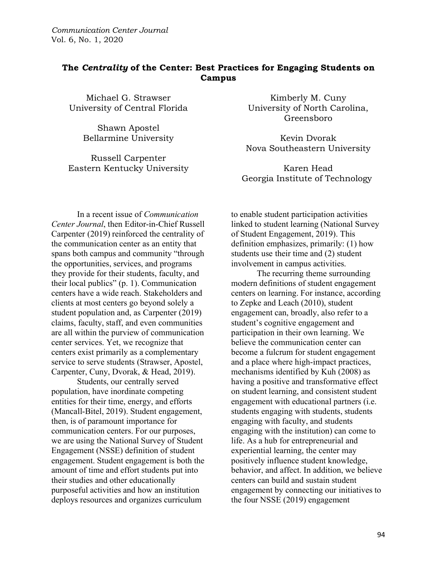# **The** *Centrality* **of the Center: Best Practices for Engaging Students on Campus**

Michael G. Strawser University of Central Florida

> Shawn Apostel Bellarmine University

Russell Carpenter Eastern Kentucky University

Kimberly M. Cuny University of North Carolina, Greensboro

Kevin Dvorak Nova Southeastern University

Karen Head Georgia Institute of Technology

In a recent issue of *Communication Center Journal*, then Editor-in-Chief Russell Carpenter (2019) reinforced the centrality of the communication center as an entity that spans both campus and community "through the opportunities, services, and programs they provide for their students, faculty, and their local publics" (p. 1). Communication centers have a wide reach. Stakeholders and clients at most centers go beyond solely a student population and, as Carpenter (2019) claims, faculty, staff, and even communities are all within the purview of communication center services. Yet, we recognize that centers exist primarily as a complementary service to serve students (Strawser, Apostel, Carpenter, Cuny, Dvorak, & Head, 2019).

Students, our centrally served population, have inordinate competing entities for their time, energy, and efforts (Mancall-Bitel, 2019). Student engagement, then, is of paramount importance for communication centers. For our purposes, we are using the National Survey of Student Engagement (NSSE) definition of student engagement. Student engagement is both the amount of time and effort students put into their studies and other educationally purposeful activities and how an institution deploys resources and organizes curriculum

to enable student participation activities linked to student learning (National Survey of Student Engagement, 2019). This definition emphasizes, primarily: (1) how students use their time and (2) student involvement in campus activities.

The recurring theme surrounding modern definitions of student engagement centers on learning. For instance, according to Zepke and Leach (2010), student engagement can, broadly, also refer to a student's cognitive engagement and participation in their own learning. We believe the communication center can become a fulcrum for student engagement and a place where high-impact practices, mechanisms identified by Kuh (2008) as having a positive and transformative effect on student learning, and consistent student engagement with educational partners (i.e. students engaging with students, students engaging with faculty, and students engaging with the institution) can come to life. As a hub for entrepreneurial and experiential learning, the center may positively influence student knowledge, behavior, and affect. In addition, we believe centers can build and sustain student engagement by connecting our initiatives to the four NSSE (2019) engagement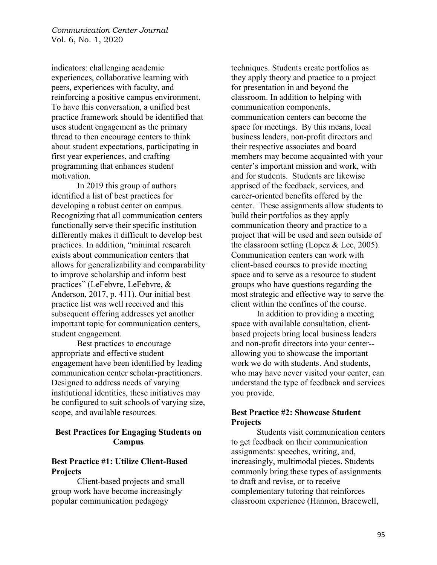indicators: challenging academic experiences, collaborative learning with peers, experiences with faculty, and reinforcing a positive campus environment. To have this conversation, a unified best practice framework should be identified that uses student engagement as the primary thread to then encourage centers to think about student expectations, participating in first year experiences, and crafting programming that enhances student motivation.

In 2019 this group of authors identified a list of best practices for developing a robust center on campus. Recognizing that all communication centers functionally serve their specific institution differently makes it difficult to develop best practices. In addition, "minimal research exists about communication centers that allows for generalizability and comparability to improve scholarship and inform best practices" (LeFebvre, LeFebvre, & Anderson, 2017, p. 411). Our initial best practice list was well received and this subsequent offering addresses yet another important topic for communication centers, student engagement.

Best practices to encourage appropriate and effective student engagement have been identified by leading communication center scholar-practitioners. Designed to address needs of varying institutional identities, these initiatives may be configured to suit schools of varying size, scope, and available resources.

### **Best Practices for Engaging Students on Campus**

#### **Best Practice #1: Utilize Client-Based Projects**

Client-based projects and small group work have become increasingly popular communication pedagogy

techniques. Students create portfolios as they apply theory and practice to a project for presentation in and beyond the classroom. In addition to helping with communication components, communication centers can become the space for meetings. By this means, local business leaders, non-profit directors and their respective associates and board members may become acquainted with your center's important mission and work, with and for students. Students are likewise apprised of the feedback, services, and career-oriented benefits offered by the center. These assignments allow students to build their portfolios as they apply communication theory and practice to a project that will be used and seen outside of the classroom setting (Lopez  $&$  Lee, 2005). Communication centers can work with client-based courses to provide meeting space and to serve as a resource to student groups who have questions regarding the most strategic and effective way to serve the client within the confines of the course.

In addition to providing a meeting space with available consultation, clientbased projects bring local business leaders and non-profit directors into your center- allowing you to showcase the important work we do with students. And students, who may have never visited your center, can understand the type of feedback and services you provide.

### **Best Practice #2: Showcase Student Projects**

Students visit communication centers to get feedback on their communication assignments: speeches, writing, and, increasingly, multimodal pieces. Students commonly bring these types of assignments to draft and revise, or to receive complementary tutoring that reinforces classroom experience (Hannon, Bracewell,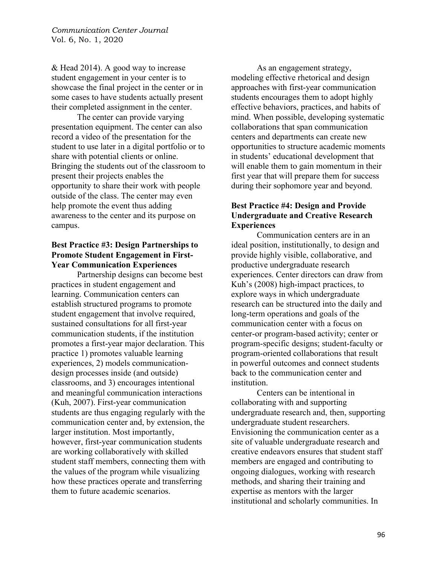& Head 2014). A good way to increase student engagement in your center is to showcase the final project in the center or in some cases to have students actually present their completed assignment in the center.

The center can provide varying presentation equipment. The center can also record a video of the presentation for the student to use later in a digital portfolio or to share with potential clients or online. Bringing the students out of the classroom to present their projects enables the opportunity to share their work with people outside of the class. The center may even help promote the event thus adding awareness to the center and its purpose on campus.

## **Best Practice #3: Design Partnerships to Promote Student Engagement in First-Year Communication Experiences**

Partnership designs can become best practices in student engagement and learning. Communication centers can establish structured programs to promote student engagement that involve required, sustained consultations for all first-year communication students, if the institution promotes a first-year major declaration. This practice 1) promotes valuable learning experiences, 2) models communicationdesign processes inside (and outside) classrooms, and 3) encourages intentional and meaningful communication interactions (Kuh, 2007). First-year communication students are thus engaging regularly with the communication center and, by extension, the larger institution. Most importantly, however, first-year communication students are working collaboratively with skilled student staff members, connecting them with the values of the program while visualizing how these practices operate and transferring them to future academic scenarios.

As an engagement strategy, modeling effective rhetorical and design approaches with first-year communication students encourages them to adopt highly effective behaviors, practices, and habits of mind. When possible, developing systematic collaborations that span communication centers and departments can create new opportunities to structure academic moments in students' educational development that will enable them to gain momentum in their first year that will prepare them for success during their sophomore year and beyond.

## **Best Practice #4: Design and Provide Undergraduate and Creative Research Experiences**

Communication centers are in an ideal position, institutionally, to design and provide highly visible, collaborative, and productive undergraduate research experiences. Center directors can draw from Kuh's (2008) high-impact practices, to explore ways in which undergraduate research can be structured into the daily and long-term operations and goals of the communication center with a focus on center-or program-based activity; center or program-specific designs; student-faculty or program-oriented collaborations that result in powerful outcomes and connect students back to the communication center and institution.

Centers can be intentional in collaborating with and supporting undergraduate research and, then, supporting undergraduate student researchers. Envisioning the communication center as a site of valuable undergraduate research and creative endeavors ensures that student staff members are engaged and contributing to ongoing dialogues, working with research methods, and sharing their training and expertise as mentors with the larger institutional and scholarly communities. In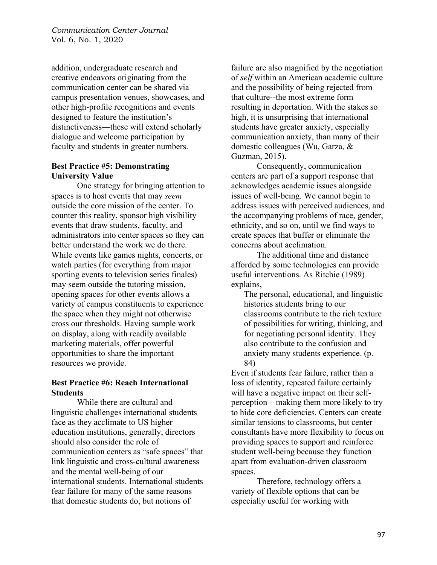addition, undergraduate research and creative endeavors originating from the communication center can be shared via campus presentation venues, showcases, and other high-profile recognitions and events designed to feature the institution's distinctiveness—these will extend scholarly dialogue and welcome participation by faculty and students in greater numbers.

### **Best Practice #5: Demonstrating University Value**

One strategy for bringing attention to spaces is to host events that may *seem* outside the core mission of the center. To counter this reality, sponsor high visibility events that draw students, faculty, and administrators into center spaces so they can better understand the work we do there. While events like games nights, concerts, or watch parties (for everything from major sporting events to television series finales) may seem outside the tutoring mission, opening spaces for other events allows a variety of campus constituents to experience the space when they might not otherwise cross our thresholds. Having sample work on display, along with readily available marketing materials, offer powerful opportunities to share the important resources we provide.

#### **Best Practice #6: Reach International Students**

While there are cultural and linguistic challenges international students face as they acclimate to US higher education institutions, generally, directors should also consider the role of communication centers as "safe spaces" that link linguistic and cross-cultural awareness and the mental well-being of our international students. International students fear failure for many of the same reasons that domestic students do, but notions of

failure are also magnified by the negotiation of *self* within an American academic culture and the possibility of being rejected from that culture--the most extreme form resulting in deportation. With the stakes so high, it is unsurprising that international students have greater anxiety, especially communication anxiety, than many of their domestic colleagues (Wu, Garza, & Guzman, 2015).

Consequently, communication centers are part of a support response that acknowledges academic issues alongside issues of well-being. We cannot begin to address issues with perceived audiences, and the accompanying problems of race, gender, ethnicity, and so on, until we find ways to create spaces that buffer or eliminate the concerns about acclimation.

The additional time and distance afforded by some technologies can provide useful interventions. As Ritchie (1989) explains,

The personal, educational, and linguistic histories students bring to our classrooms contribute to the rich texture of possibilities for writing, thinking, and for negotiating personal identity. They also contribute to the confusion and anxiety many students experience. (p. 84)

Even if students fear failure, rather than a loss of identity, repeated failure certainly will have a negative impact on their selfperception—making them more likely to try to hide core deficiencies. Centers can create similar tensions to classrooms, but center consultants have more flexibility to focus on providing spaces to support and reinforce student well-being because they function apart from evaluation-driven classroom spaces.

Therefore, technology offers a variety of flexible options that can be especially useful for working with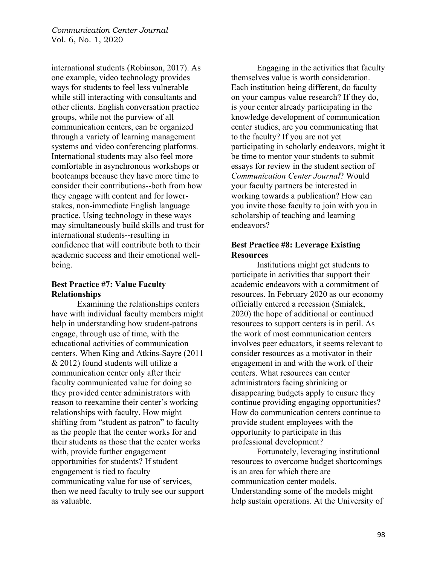international students (Robinson, 2017). As one example, video technology provides ways for students to feel less vulnerable while still interacting with consultants and other clients. English conversation practice groups, while not the purview of all communication centers, can be organized through a variety of learning management systems and video conferencing platforms. International students may also feel more comfortable in asynchronous workshops or bootcamps because they have more time to consider their contributions--both from how they engage with content and for lowerstakes, non-immediate English language practice. Using technology in these ways may simultaneously build skills and trust for international students--resulting in confidence that will contribute both to their academic success and their emotional wellbeing.

### **Best Practice #7: Value Faculty Relationships**

Examining the relationships centers have with individual faculty members might help in understanding how student-patrons engage, through use of time, with the educational activities of communication centers. When King and Atkins-Sayre (2011 & 2012) found students will utilize a communication center only after their faculty communicated value for doing so they provided center administrators with reason to reexamine their center's working relationships with faculty. How might shifting from "student as patron" to faculty as the people that the center works for and their students as those that the center works with, provide further engagement opportunities for students? If student engagement is tied to faculty communicating value for use of services, then we need faculty to truly see our support as valuable.

 Engaging in the activities that faculty themselves value is worth consideration. Each institution being different, do faculty on your campus value research? If they do, is your center already participating in the knowledge development of communication center studies, are you communicating that to the faculty? If you are not yet participating in scholarly endeavors, might it be time to mentor your students to submit essays for review in the student section of *Communication Center Journal*? Would your faculty partners be interested in working towards a publication? How can you invite those faculty to join with you in scholarship of teaching and learning endeavors?

## **Best Practice #8: Leverage Existing Resources**

Institutions might get students to participate in activities that support their academic endeavors with a commitment of resources. In February 2020 as our economy officially entered a recession (Smialek, 2020) the hope of additional or continued resources to support centers is in peril. As the work of most communication centers involves peer educators, it seems relevant to consider resources as a motivator in their engagement in and with the work of their centers. What resources can center administrators facing shrinking or disappearing budgets apply to ensure they continue providing engaging opportunities? How do communication centers continue to provide student employees with the opportunity to participate in this professional development?

 Fortunately, leveraging institutional resources to overcome budget shortcomings is an area for which there are communication center models. Understanding some of the models might help sustain operations. At the University of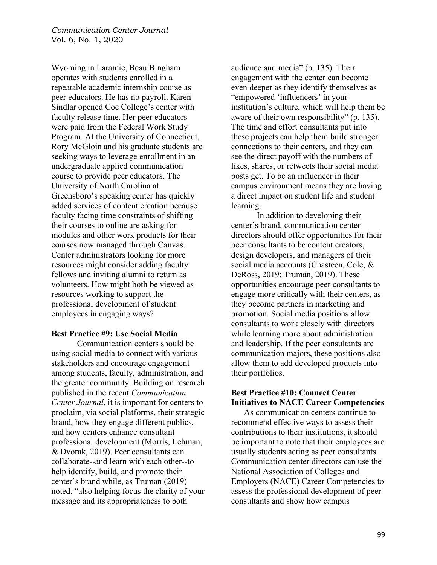Wyoming in Laramie, Beau Bingham operates with students enrolled in a repeatable academic internship course as peer educators. He has no payroll. Karen Sindlar opened Coe College's center with faculty release time. Her peer educators were paid from the Federal Work Study Program. At the University of Connecticut, Rory McGloin and his graduate students are seeking ways to leverage enrollment in an undergraduate applied communication course to provide peer educators. The University of North Carolina at Greensboro's speaking center has quickly added services of content creation because faculty facing time constraints of shifting their courses to online are asking for modules and other work products for their courses now managed through Canvas. Center administrators looking for more resources might consider adding faculty fellows and inviting alumni to return as volunteers. How might both be viewed as resources working to support the professional development of student employees in engaging ways?

#### **Best Practice #9: Use Social Media**

Communication centers should be using social media to connect with various stakeholders and encourage engagement among students, faculty, administration, and the greater community. Building on research published in the recent *Communication Center Journal*, it is important for centers to proclaim, via social platforms, their strategic brand, how they engage different publics, and how centers enhance consultant professional development (Morris, Lehman, & Dvorak, 2019). Peer consultants can collaborate--and learn with each other--to help identify, build, and promote their center's brand while, as Truman (2019) noted, "also helping focus the clarity of your message and its appropriateness to both

audience and media" (p. 135). Their engagement with the center can become even deeper as they identify themselves as "empowered 'influencers' in your institution's culture, which will help them be aware of their own responsibility" (p. 135). The time and effort consultants put into these projects can help them build stronger connections to their centers, and they can see the direct payoff with the numbers of likes, shares, or retweets their social media posts get. To be an influencer in their campus environment means they are having a direct impact on student life and student learning.

In addition to developing their center's brand, communication center directors should offer opportunities for their peer consultants to be content creators, design developers, and managers of their social media accounts (Chasteen, Cole, & DeRoss, 2019; Truman, 2019). These opportunities encourage peer consultants to engage more critically with their centers, as they become partners in marketing and promotion. Social media positions allow consultants to work closely with directors while learning more about administration and leadership. If the peer consultants are communication majors, these positions also allow them to add developed products into their portfolios.

#### **Best Practice #10: Connect Center Initiatives to NACE Career Competencies**

As communication centers continue to recommend effective ways to assess their contributions to their institutions, it should be important to note that their employees are usually students acting as peer consultants. Communication center directors can use the National Association of Colleges and Employers (NACE) Career Competencies to assess the professional development of peer consultants and show how campus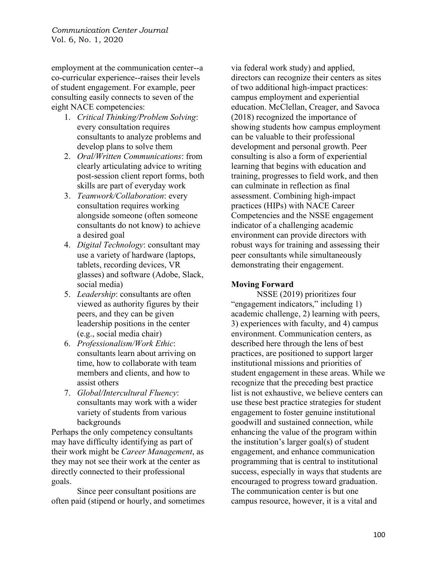employment at the communication center--a co-curricular experience--raises their levels of student engagement. For example, peer consulting easily connects to seven of the eight NACE competencies:

- 1. *Critical Thinking/Problem Solving*: every consultation requires consultants to analyze problems and develop plans to solve them
- 2. *Oral/Written Communications*: from clearly articulating advice to writing post-session client report forms, both skills are part of everyday work
- 3. *Teamwork/Collaboration*: every consultation requires working alongside someone (often someone consultants do not know) to achieve a desired goal
- 4. *Digital Technology*: consultant may use a variety of hardware (laptops, tablets, recording devices, VR glasses) and software (Adobe, Slack, social media)
- 5. *Leadership*: consultants are often viewed as authority figures by their peers, and they can be given leadership positions in the center (e.g., social media chair)
- 6. *Professionalism/Work Ethic*: consultants learn about arriving on time, how to collaborate with team members and clients, and how to assist others
- 7. *Global/Intercultural Fluency*: consultants may work with a wider variety of students from various backgrounds

Perhaps the only competency consultants may have difficulty identifying as part of their work might be *Career Management*, as they may not see their work at the center as directly connected to their professional goals.

Since peer consultant positions are often paid (stipend or hourly, and sometimes via federal work study) and applied, directors can recognize their centers as sites of two additional high-impact practices: campus employment and experiential education. McClellan, Creager, and Savoca (2018) recognized the importance of showing students how campus employment can be valuable to their professional development and personal growth. Peer consulting is also a form of experiential learning that begins with education and training, progresses to field work, and then can culminate in reflection as final assessment. Combining high-impact practices (HIPs) with NACE Career Competencies and the NSSE engagement indicator of a challenging academic environment can provide directors with robust ways for training and assessing their peer consultants while simultaneously demonstrating their engagement.

# **Moving Forward**

NSSE (2019) prioritizes four "engagement indicators," including 1) academic challenge, 2) learning with peers, 3) experiences with faculty, and 4) campus environment. Communication centers, as described here through the lens of best practices, are positioned to support larger institutional missions and priorities of student engagement in these areas. While we recognize that the preceding best practice list is not exhaustive, we believe centers can use these best practice strategies for student engagement to foster genuine institutional goodwill and sustained connection, while enhancing the value of the program within the institution's larger goal(s) of student engagement, and enhance communication programming that is central to institutional success, especially in ways that students are encouraged to progress toward graduation. The communication center is but one campus resource, however, it is a vital and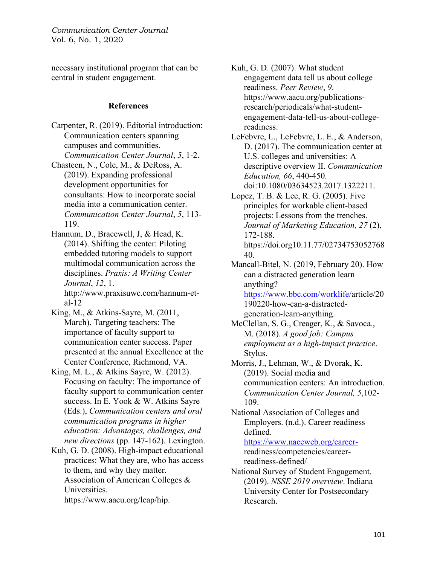necessary institutional program that can be central in student engagement.

#### **References**

Carpenter, R. (2019). Editorial introduction: Communication centers spanning campuses and communities. *Communication Center Journal*, *5*, 1-2.

Chasteen, N., Cole, M., & DeRoss, A. (2019). Expanding professional development opportunities for consultants: How to incorporate social media into a communication center. *Communication Center Journal*, *5*, 113- 119.

Hannum, D., Bracewell, J, & Head, K. (2014). Shifting the center: Piloting embedded tutoring models to support multimodal communication across the disciplines. *Praxis: A Writing Center Journal*, *12*, 1. http://www.praxisuwc.com/hannum-etal-12

King, M., & Atkins-Sayre, M. (2011, March). Targeting teachers: The importance of faculty support to communication center success. Paper presented at the annual Excellence at the Center Conference, Richmond, VA.

King, M. L., & Atkins Sayre, W. (2012). Focusing on faculty: The importance of faculty support to communication center success. In E. Yook & W. Atkins Sayre (Eds.), *Communication centers and oral communication programs in higher education: Advantages, challenges, and new directions* (pp. 147-162). Lexington.

Kuh, G. D. (2008). High-impact educational practices: What they are, who has access to them, and why they matter. Association of American Colleges & Universities.

https://www.aacu.org/leap/hip.

Kuh, G. D. (2007). What student engagement data tell us about college readiness. *Peer Review*, *9*. https://www.aacu.org/publicationsresearch/periodicals/what-studentengagement-data-tell-us-about-collegereadiness.

LeFebvre, L., LeFebvre, L. E., & Anderson, D. (2017). The communication center at U.S. colleges and universities: A descriptive overview II. *Communication Education, 66*, 440-450. doi:10.1080/03634523.2017.1322211.

Lopez, T. B. & Lee, R. G. (2005). Five principles for workable client-based projects: Lessons from the trenches. *Journal of Marketing Education, 27* (2), 172-188. https://doi.org10.11.77/02734753052768 40.

Mancall-Bitel, N. (2019, February 20). How can a distracted generation learn anything? https://www.bbc.com/worklife/article/20 190220-how-can-a-distractedgeneration-learn-anything.

- McClellan, S. G., Creager, K., & Savoca., M. (2018). *A good job: Campus employment as a high-impact practice*. Stylus.
- Morris, J., Lehman, W., & Dvorak, K. (2019). Social media and communication centers: An introduction. *Communication Center Journal, 5*,102- 109.
- National Association of Colleges and Employers. (n.d.). Career readiness defined.

https://www.naceweb.org/careerreadiness/competencies/careerreadiness-defined/

National Survey of Student Engagement. (2019). *NSSE 2019 overview*. Indiana University Center for Postsecondary Research.